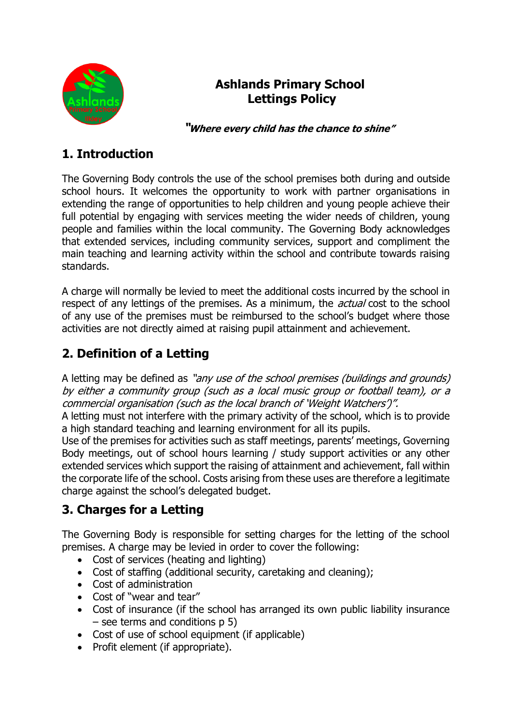

## **Ashlands Primary School Lettings Policy**

 **"Where every child has the chance to shine"**

## **1. Introduction**

The Governing Body controls the use of the school premises both during and outside school hours. It welcomes the opportunity to work with partner organisations in extending the range of opportunities to help children and young people achieve their full potential by engaging with services meeting the wider needs of children, young people and families within the local community. The Governing Body acknowledges that extended services, including community services, support and compliment the main teaching and learning activity within the school and contribute towards raising standards.

A charge will normally be levied to meet the additional costs incurred by the school in respect of any lettings of the premises. As a minimum, the *actual* cost to the school of any use of the premises must be reimbursed to the school's budget where those activities are not directly aimed at raising pupil attainment and achievement.

## **2. Definition of a Letting**

A letting may be defined as "any use of the school premises (buildings and grounds) by either a community group (such as a local music group or football team), or a commercial organisation (such as the local branch of 'Weight Watchers')".

A letting must not interfere with the primary activity of the school, which is to provide a high standard teaching and learning environment for all its pupils.

Use of the premises for activities such as staff meetings, parents' meetings, Governing Body meetings, out of school hours learning / study support activities or any other extended services which support the raising of attainment and achievement, fall within the corporate life of the school. Costs arising from these uses are therefore a legitimate charge against the school's delegated budget.

## **3. Charges for a Letting**

The Governing Body is responsible for setting charges for the letting of the school premises. A charge may be levied in order to cover the following:

- Cost of services (heating and lighting)
- Cost of staffing (additional security, caretaking and cleaning);
- Cost of administration
- Cost of "wear and tear"
- Cost of insurance (if the school has arranged its own public liability insurance  $-$  see terms and conditions  $p 5$ )
- Cost of use of school equipment (if applicable)
- Profit element (if appropriate).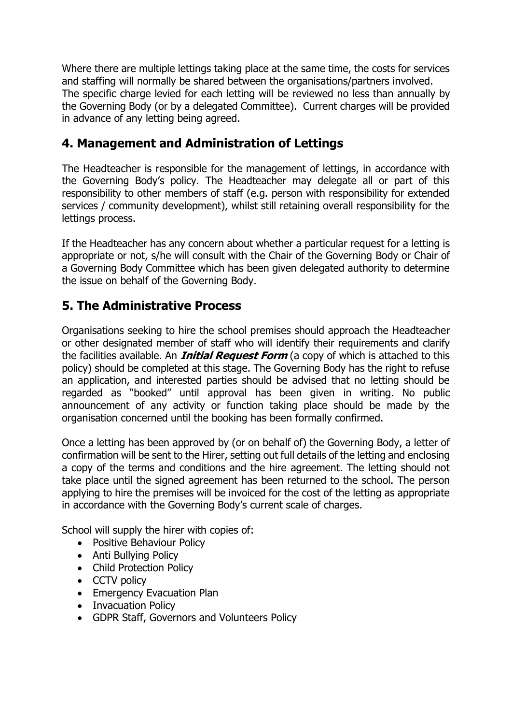Where there are multiple lettings taking place at the same time, the costs for services and staffing will normally be shared between the organisations/partners involved. The specific charge levied for each letting will be reviewed no less than annually by the Governing Body (or by a delegated Committee). Current charges will be provided in advance of any letting being agreed.

## **4. Management and Administration of Lettings**

The Headteacher is responsible for the management of lettings, in accordance with the Governing Body's policy. The Headteacher may delegate all or part of this responsibility to other members of staff (e.g. person with responsibility for extended services / community development), whilst still retaining overall responsibility for the lettings process.

If the Headteacher has any concern about whether a particular request for a letting is appropriate or not, s/he will consult with the Chair of the Governing Body or Chair of a Governing Body Committee which has been given delegated authority to determine the issue on behalf of the Governing Body.

## **5. The Administrative Process**

Organisations seeking to hire the school premises should approach the Headteacher or other designated member of staff who will identify their requirements and clarify the facilities available. An **Initial Request Form** (a copy of which is attached to this policy) should be completed at this stage. The Governing Body has the right to refuse an application, and interested parties should be advised that no letting should be regarded as "booked" until approval has been given in writing. No public announcement of any activity or function taking place should be made by the organisation concerned until the booking has been formally confirmed.

Once a letting has been approved by (or on behalf of) the Governing Body, a letter of confirmation will be sent to the Hirer, setting out full details of the letting and enclosing a copy of the terms and conditions and the hire agreement. The letting should not take place until the signed agreement has been returned to the school. The person applying to hire the premises will be invoiced for the cost of the letting as appropriate in accordance with the Governing Body's current scale of charges.

School will supply the hirer with copies of:

- Positive Behaviour Policy
- Anti Bullying Policy
- Child Protection Policy
- CCTV policy
- Emergency Evacuation Plan
- Invacuation Policy
- GDPR Staff, Governors and Volunteers Policy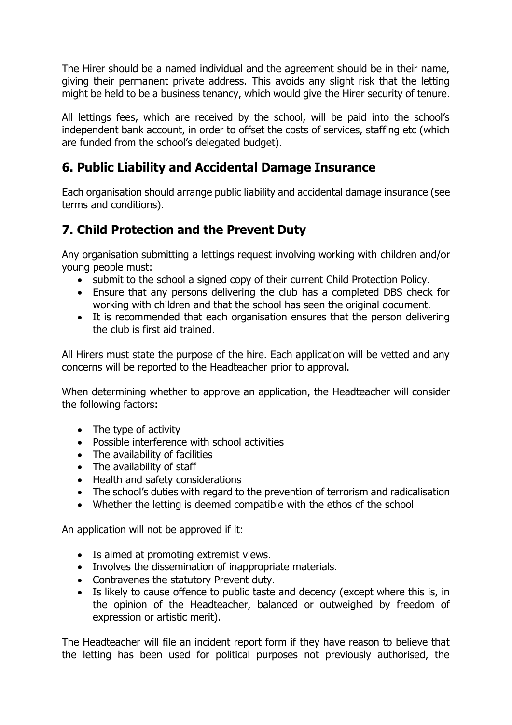The Hirer should be a named individual and the agreement should be in their name, giving their permanent private address. This avoids any slight risk that the letting might be held to be a business tenancy, which would give the Hirer security of tenure.

All lettings fees, which are received by the school, will be paid into the school's independent bank account, in order to offset the costs of services, staffing etc (which are funded from the school's delegated budget).

## **6. Public Liability and Accidental Damage Insurance**

Each organisation should arrange public liability and accidental damage insurance (see terms and conditions).

## **7. Child Protection and the Prevent Duty**

Any organisation submitting a lettings request involving working with children and/or young people must:

- submit to the school a signed copy of their current Child Protection Policy.
- Ensure that any persons delivering the club has a completed DBS check for working with children and that the school has seen the original document.
- It is recommended that each organisation ensures that the person delivering the club is first aid trained.

All Hirers must state the purpose of the hire. Each application will be vetted and any concerns will be reported to the Headteacher prior to approval.

When determining whether to approve an application, the Headteacher will consider the following factors:

- The type of activity
- Possible interference with school activities
- The availability of facilities
- The availability of staff
- Health and safety considerations
- The school's duties with regard to the prevention of terrorism and radicalisation
- Whether the letting is deemed compatible with the ethos of the school

An application will not be approved if it:

- Is aimed at promoting extremist views.
- Involves the dissemination of inappropriate materials.
- Contravenes the statutory Prevent duty.
- Is likely to cause offence to public taste and decency (except where this is, in the opinion of the Headteacher, balanced or outweighed by freedom of expression or artistic merit).

The Headteacher will file an incident report form if they have reason to believe that the letting has been used for political purposes not previously authorised, the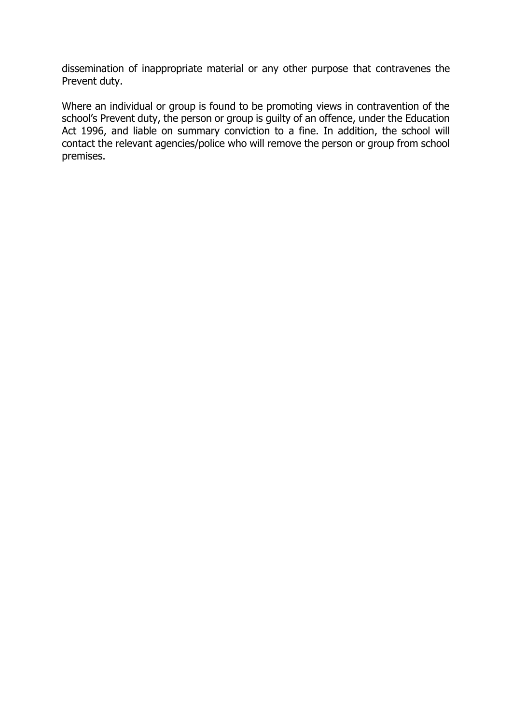dissemination of inappropriate material or any other purpose that contravenes the Prevent duty.

Where an individual or group is found to be promoting views in contravention of the school's Prevent duty, the person or group is guilty of an offence, under the Education Act 1996, and liable on summary conviction to a fine. In addition, the school will contact the relevant agencies/police who will remove the person or group from school premises.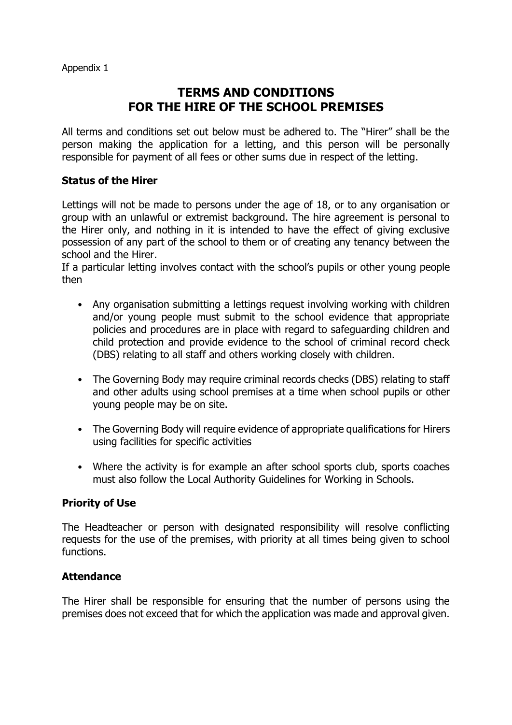## **TERMS AND CONDITIONS FOR THE HIRE OF THE SCHOOL PREMISES**

All terms and conditions set out below must be adhered to. The "Hirer" shall be the person making the application for a letting, and this person will be personally responsible for payment of all fees or other sums due in respect of the letting.

#### **Status of the Hirer**

Lettings will not be made to persons under the age of 18, or to any organisation or group with an unlawful or extremist background. The hire agreement is personal to the Hirer only, and nothing in it is intended to have the effect of giving exclusive possession of any part of the school to them or of creating any tenancy between the school and the Hirer.

If a particular letting involves contact with the school's pupils or other young people then

- Any organisation submitting a lettings request involving working with children and/or young people must submit to the school evidence that appropriate policies and procedures are in place with regard to safeguarding children and child protection and provide evidence to the school of criminal record check (DBS) relating to all staff and others working closely with children.
- The Governing Body may require criminal records checks (DBS) relating to staff and other adults using school premises at a time when school pupils or other young people may be on site.
- The Governing Body will require evidence of appropriate qualifications for Hirers using facilities for specific activities
- Where the activity is for example an after school sports club, sports coaches must also follow the Local Authority Guidelines for Working in Schools.

#### **Priority of Use**

The Headteacher or person with designated responsibility will resolve conflicting requests for the use of the premises, with priority at all times being given to school functions.

#### **Attendance**

The Hirer shall be responsible for ensuring that the number of persons using the premises does not exceed that for which the application was made and approval given.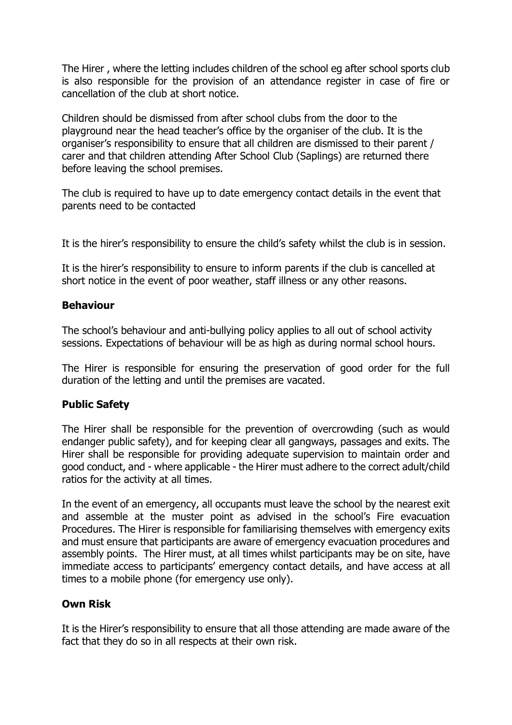The Hirer , where the letting includes children of the school eg after school sports club is also responsible for the provision of an attendance register in case of fire or cancellation of the club at short notice.

Children should be dismissed from after school clubs from the door to the playground near the head teacher's office by the organiser of the club. It is the organiser's responsibility to ensure that all children are dismissed to their parent / carer and that children attending After School Club (Saplings) are returned there before leaving the school premises.

The club is required to have up to date emergency contact details in the event that parents need to be contacted

It is the hirer's responsibility to ensure the child's safety whilst the club is in session.

It is the hirer's responsibility to ensure to inform parents if the club is cancelled at short notice in the event of poor weather, staff illness or any other reasons.

### **Behaviour**

The school's behaviour and anti-bullying policy applies to all out of school activity sessions. Expectations of behaviour will be as high as during normal school hours.

The Hirer is responsible for ensuring the preservation of good order for the full duration of the letting and until the premises are vacated.

### **Public Safety**

The Hirer shall be responsible for the prevention of overcrowding (such as would endanger public safety), and for keeping clear all gangways, passages and exits. The Hirer shall be responsible for providing adequate supervision to maintain order and good conduct, and - where applicable - the Hirer must adhere to the correct adult/child ratios for the activity at all times.

In the event of an emergency, all occupants must leave the school by the nearest exit and assemble at the muster point as advised in the school's Fire evacuation Procedures. The Hirer is responsible for familiarising themselves with emergency exits and must ensure that participants are aware of emergency evacuation procedures and assembly points. The Hirer must, at all times whilst participants may be on site, have immediate access to participants' emergency contact details, and have access at all times to a mobile phone (for emergency use only).

### **Own Risk**

It is the Hirer's responsibility to ensure that all those attending are made aware of the fact that they do so in all respects at their own risk.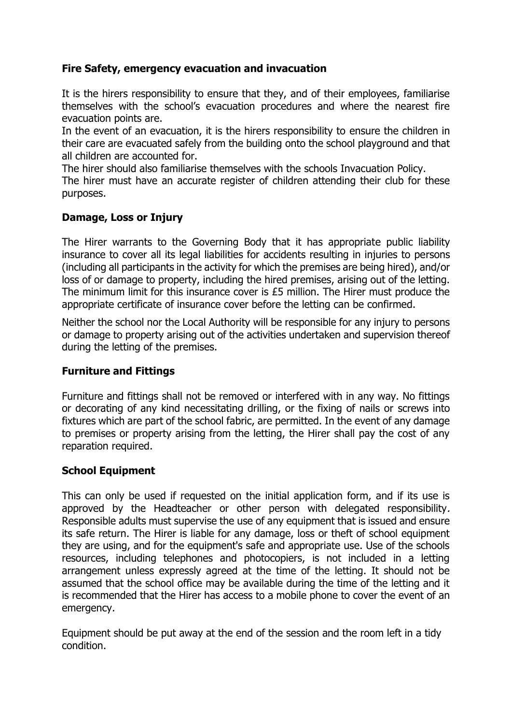### **Fire Safety, emergency evacuation and invacuation**

It is the hirers responsibility to ensure that they, and of their employees, familiarise themselves with the school's evacuation procedures and where the nearest fire evacuation points are.

In the event of an evacuation, it is the hirers responsibility to ensure the children in their care are evacuated safely from the building onto the school playground and that all children are accounted for.

The hirer should also familiarise themselves with the schools Invacuation Policy.

The hirer must have an accurate register of children attending their club for these purposes.

#### **Damage, Loss or Injury**

The Hirer warrants to the Governing Body that it has appropriate public liability insurance to cover all its legal liabilities for accidents resulting in injuries to persons (including all participants in the activity for which the premises are being hired), and/or loss of or damage to property, including the hired premises, arising out of the letting. The minimum limit for this insurance cover is £5 million. The Hirer must produce the appropriate certificate of insurance cover before the letting can be confirmed.

Neither the school nor the Local Authority will be responsible for any injury to persons or damage to property arising out of the activities undertaken and supervision thereof during the letting of the premises.

#### **Furniture and Fittings**

Furniture and fittings shall not be removed or interfered with in any way. No fittings or decorating of any kind necessitating drilling, or the fixing of nails or screws into fixtures which are part of the school fabric, are permitted. In the event of any damage to premises or property arising from the letting, the Hirer shall pay the cost of any reparation required.

#### **School Equipment**

This can only be used if requested on the initial application form, and if its use is approved by the Headteacher or other person with delegated responsibility. Responsible adults must supervise the use of any equipment that is issued and ensure its safe return. The Hirer is liable for any damage, loss or theft of school equipment they are using, and for the equipment's safe and appropriate use. Use of the schools resources, including telephones and photocopiers, is not included in a letting arrangement unless expressly agreed at the time of the letting. It should not be assumed that the school office may be available during the time of the letting and it is recommended that the Hirer has access to a mobile phone to cover the event of an emergency.

Equipment should be put away at the end of the session and the room left in a tidy condition.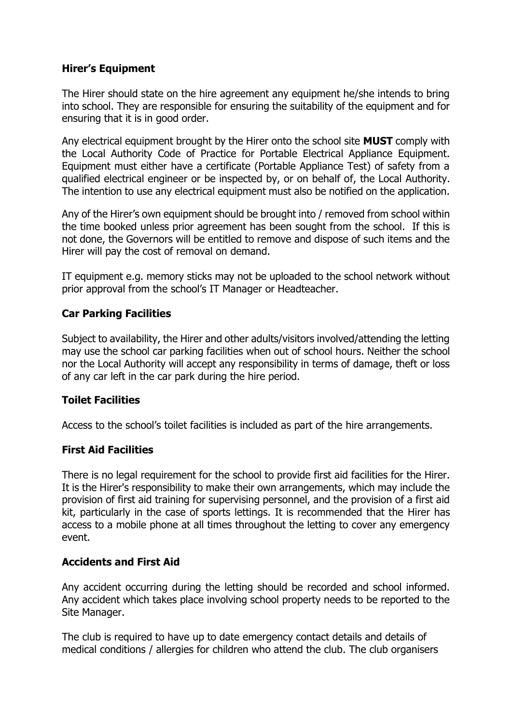#### **Hirer's Equipment**

The Hirer should state on the hire agreement any equipment he/she intends to bring into school. They are responsible for ensuring the suitability of the equipment and for ensuring that it is in good order.

Any electrical equipment brought by the Hirer onto the school site **MUST** comply with the Local Authority Code of Practice for Portable Electrical Appliance Equipment. Equipment must either have a certificate (Portable Appliance Test) of safety from a qualified electrical engineer or be inspected by, or on behalf of, the Local Authority. The intention to use any electrical equipment must also be notified on the application.

Any of the Hirer's own equipment should be brought into / removed from school within the time booked unless prior agreement has been sought from the school. If this is not done, the Governors will be entitled to remove and dispose of such items and the Hirer will pay the cost of removal on demand.

IT equipment e.g. memory sticks may not be uploaded to the school network without prior approval from the school's IT Manager or Headteacher.

### **Car Parking Facilities**

Subject to availability, the Hirer and other adults/visitors involved/attending the letting may use the school car parking facilities when out of school hours. Neither the school nor the Local Authority will accept any responsibility in terms of damage, theft or loss of any car left in the car park during the hire period.

#### **Toilet Facilities**

Access to the school's toilet facilities is included as part of the hire arrangements.

#### **First Aid Facilities**

There is no legal requirement for the school to provide first aid facilities for the Hirer. It is the Hirer's responsibility to make their own arrangements, which may include the provision of first aid training for supervising personnel, and the provision of a first aid kit, particularly in the case of sports lettings. It is recommended that the Hirer has access to a mobile phone at all times throughout the letting to cover any emergency event.

#### **Accidents and First Aid**

Any accident occurring during the letting should be recorded and school informed. Any accident which takes place involving school property needs to be reported to the Site Manager.

The club is required to have up to date emergency contact details and details of medical conditions / allergies for children who attend the club. The club organisers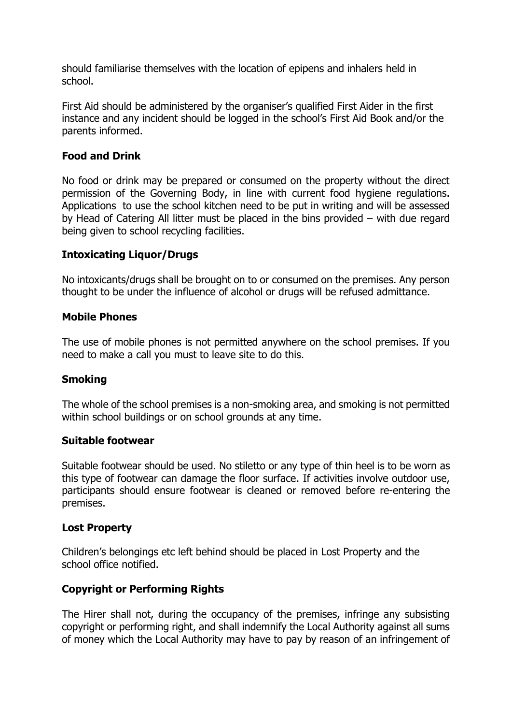should familiarise themselves with the location of epipens and inhalers held in school.

First Aid should be administered by the organiser's qualified First Aider in the first instance and any incident should be logged in the school's First Aid Book and/or the parents informed.

#### **Food and Drink**

No food or drink may be prepared or consumed on the property without the direct permission of the Governing Body, in line with current food hygiene regulations. Applications to use the school kitchen need to be put in writing and will be assessed by Head of Catering All litter must be placed in the bins provided – with due regard being given to school recycling facilities.

#### **Intoxicating Liquor/Drugs**

No intoxicants/drugs shall be brought on to or consumed on the premises. Any person thought to be under the influence of alcohol or drugs will be refused admittance.

#### **Mobile Phones**

The use of mobile phones is not permitted anywhere on the school premises. If you need to make a call you must to leave site to do this.

#### **Smoking**

The whole of the school premises is a non-smoking area, and smoking is not permitted within school buildings or on school grounds at any time.

#### **Suitable footwear**

Suitable footwear should be used. No stiletto or any type of thin heel is to be worn as this type of footwear can damage the floor surface. If activities involve outdoor use, participants should ensure footwear is cleaned or removed before re-entering the premises.

#### **Lost Property**

Children's belongings etc left behind should be placed in Lost Property and the school office notified.

#### **Copyright or Performing Rights**

The Hirer shall not, during the occupancy of the premises, infringe any subsisting copyright or performing right, and shall indemnify the Local Authority against all sums of money which the Local Authority may have to pay by reason of an infringement of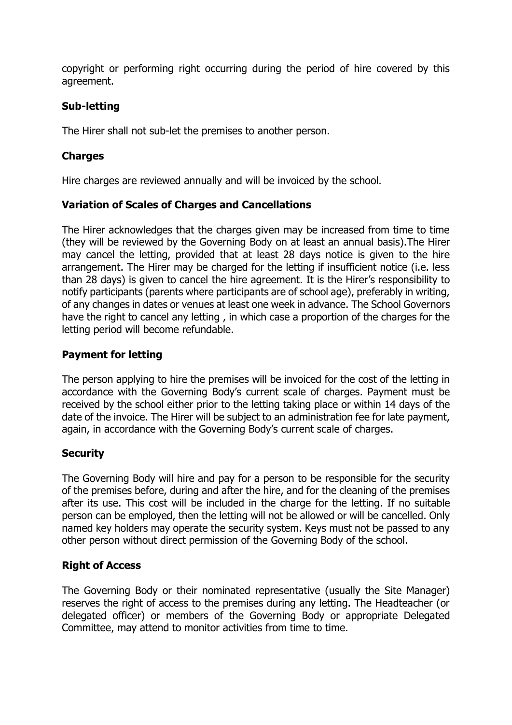copyright or performing right occurring during the period of hire covered by this agreement.

### **Sub-letting**

The Hirer shall not sub-let the premises to another person.

### **Charges**

Hire charges are reviewed annually and will be invoiced by the school.

#### **Variation of Scales of Charges and Cancellations**

The Hirer acknowledges that the charges given may be increased from time to time (they will be reviewed by the Governing Body on at least an annual basis).The Hirer may cancel the letting, provided that at least 28 days notice is given to the hire arrangement. The Hirer may be charged for the letting if insufficient notice (i.e. less than 28 days) is given to cancel the hire agreement. It is the Hirer's responsibility to notify participants (parents where participants are of school age), preferably in writing, of any changes in dates or venues at least one week in advance. The School Governors have the right to cancel any letting , in which case a proportion of the charges for the letting period will become refundable.

### **Payment for letting**

The person applying to hire the premises will be invoiced for the cost of the letting in accordance with the Governing Body's current scale of charges. Payment must be received by the school either prior to the letting taking place or within 14 days of the date of the invoice. The Hirer will be subject to an administration fee for late payment, again, in accordance with the Governing Body's current scale of charges.

### **Security**

The Governing Body will hire and pay for a person to be responsible for the security of the premises before, during and after the hire, and for the cleaning of the premises after its use. This cost will be included in the charge for the letting. If no suitable person can be employed, then the letting will not be allowed or will be cancelled. Only named key holders may operate the security system. Keys must not be passed to any other person without direct permission of the Governing Body of the school.

#### **Right of Access**

The Governing Body or their nominated representative (usually the Site Manager) reserves the right of access to the premises during any letting. The Headteacher (or delegated officer) or members of the Governing Body or appropriate Delegated Committee, may attend to monitor activities from time to time.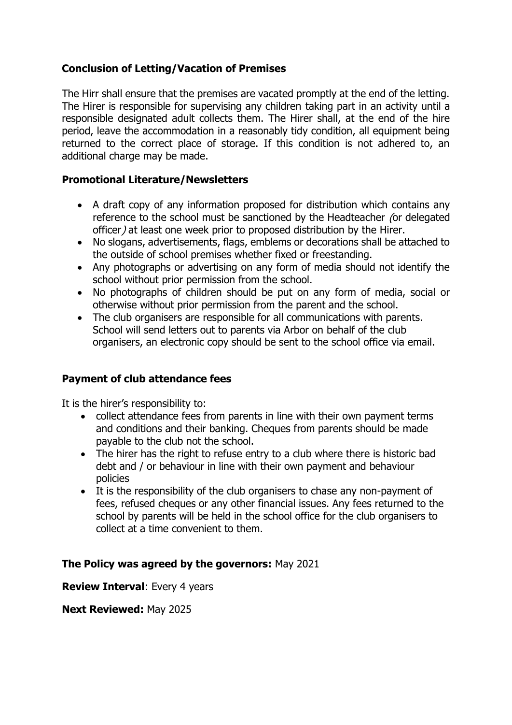### **Conclusion of Letting/Vacation of Premises**

The Hirr shall ensure that the premises are vacated promptly at the end of the letting. The Hirer is responsible for supervising any children taking part in an activity until a responsible designated adult collects them. The Hirer shall, at the end of the hire period, leave the accommodation in a reasonably tidy condition, all equipment being returned to the correct place of storage. If this condition is not adhered to, an additional charge may be made.

#### **Promotional Literature/Newsletters**

- A draft copy of any information proposed for distribution which contains any reference to the school must be sanctioned by the Headteacher (or delegated officer) at least one week prior to proposed distribution by the Hirer.
- No slogans, advertisements, flags, emblems or decorations shall be attached to the outside of school premises whether fixed or freestanding.
- Any photographs or advertising on any form of media should not identify the school without prior permission from the school.
- No photographs of children should be put on any form of media, social or otherwise without prior permission from the parent and the school.
- The club organisers are responsible for all communications with parents. School will send letters out to parents via Arbor on behalf of the club organisers, an electronic copy should be sent to the school office via email.

#### **Payment of club attendance fees**

It is the hirer's responsibility to:

- collect attendance fees from parents in line with their own payment terms and conditions and their banking. Cheques from parents should be made payable to the club not the school.
- The hirer has the right to refuse entry to a club where there is historic bad debt and / or behaviour in line with their own payment and behaviour policies
- It is the responsibility of the club organisers to chase any non-payment of fees, refused cheques or any other financial issues. Any fees returned to the school by parents will be held in the school office for the club organisers to collect at a time convenient to them.

#### **The Policy was agreed by the governors:** May 2021

**Review Interval**: Every 4 years

**Next Reviewed:** May 2025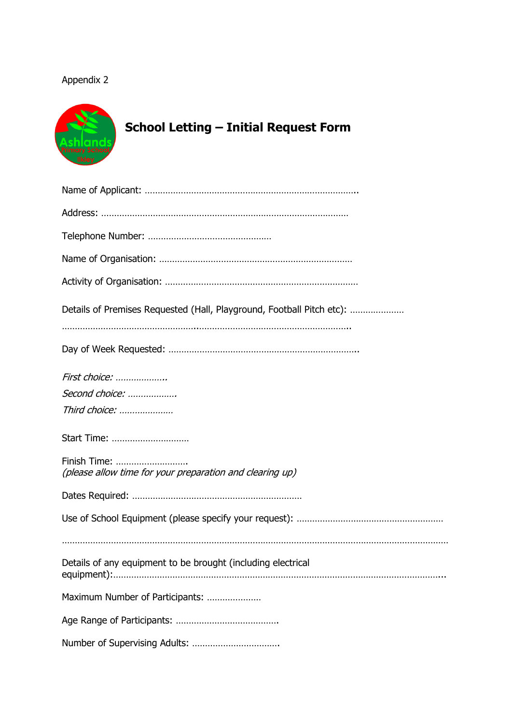## Appendix 2



| Details of Premises Requested (Hall, Playground, Football Pitch etc):    |
|--------------------------------------------------------------------------|
|                                                                          |
| First choice:                                                            |
| Second choice:                                                           |
| Third choice:                                                            |
| Start Time:                                                              |
| Finish Time:<br>(please allow time for your preparation and clearing up) |
|                                                                          |
|                                                                          |
| Details of any equipment to be brought (including electrical             |
| Maximum Number of Participants:                                          |
|                                                                          |
|                                                                          |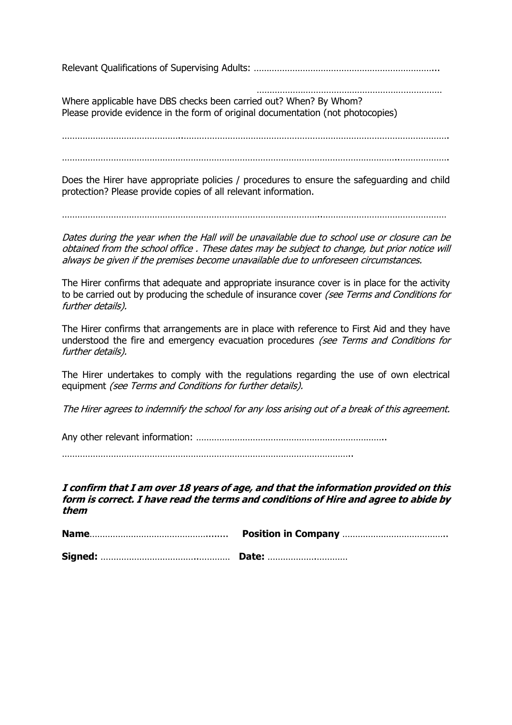Relevant Qualifications of Supervising Adults: ……………………………………………………………...

 ……………………………………………………………… Where applicable have DBS checks been carried out? When? By Whom? Please provide evidence in the form of original documentation (not photocopies)

………………………………………..………………………………………………………………………………………….

Does the Hirer have appropriate policies / procedures to ensure the safeguarding and child protection? Please provide copies of all relevant information.

………………………………………………………………………………………..…………………………………………

Dates during the year when the Hall will be unavailable due to school use or closure can be obtained from the school office . These dates may be subject to change, but prior notice will always be given if the premises become unavailable due to unforeseen circumstances.

The Hirer confirms that adequate and appropriate insurance cover is in place for the activity to be carried out by producing the schedule of insurance cover (see Terms and Conditions for further details).

The Hirer confirms that arrangements are in place with reference to First Aid and they have understood the fire and emergency evacuation procedures (see Terms and Conditions for further details).

The Hirer undertakes to comply with the regulations regarding the use of own electrical equipment (see Terms and Conditions for further details).

The Hirer agrees to indemnify the school for any loss arising out of a break of this agreement.

Any other relevant information: ………………………………………………………………..

…………………………………………………………………………………………………..

**I confirm that I am over 18 years of age, and that the information provided on this form is correct. I have read the terms and conditions of Hire and agree to abide by them**